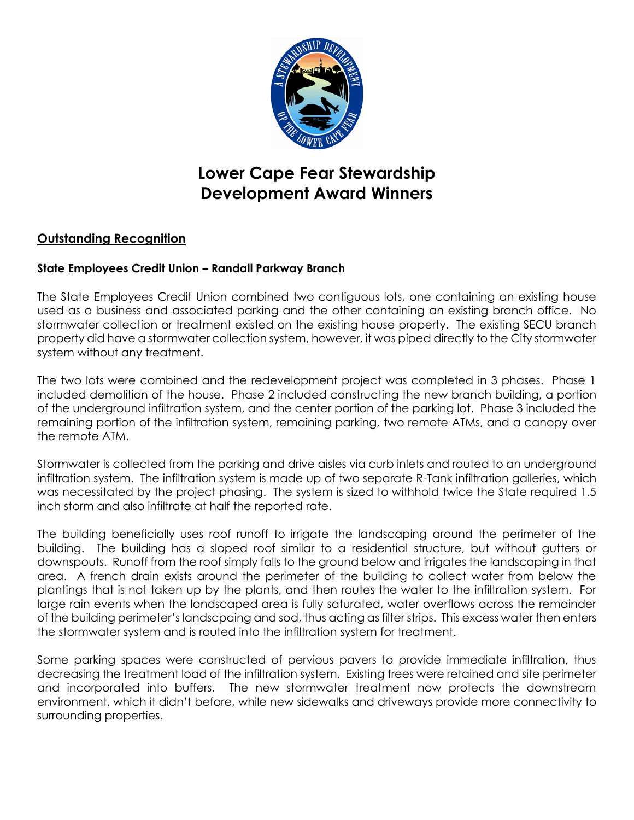

# **Lower Cape Fear Stewardship Development Award Winners**

## **Outstanding Recognition**

## **State Employees Credit Union – Randall Parkway Branch**

The State Employees Credit Union combined two contiguous lots, one containing an existing house used as a business and associated parking and the other containing an existing branch office. No stormwater collection or treatment existed on the existing house property. The existing SECU branch property did have a stormwater collection system, however, it was piped directly to the City stormwater system without any treatment.

The two lots were combined and the redevelopment project was completed in 3 phases. Phase 1 included demolition of the house. Phase 2 included constructing the new branch building, a portion of the underground infiltration system, and the center portion of the parking lot. Phase 3 included the remaining portion of the infiltration system, remaining parking, two remote ATMs, and a canopy over the remote ATM.

Stormwater is collected from the parking and drive aisles via curb inlets and routed to an underground infiltration system. The infiltration system is made up of two separate R-Tank infiltration galleries, which was necessitated by the project phasing. The system is sized to withhold twice the State required 1.5 inch storm and also infiltrate at half the reported rate.

The building beneficially uses roof runoff to irrigate the landscaping around the perimeter of the building. The building has a sloped roof similar to a residential structure, but without gutters or downspouts. Runoff from the roof simply falls to the ground below and irrigates the landscaping in that area. A french drain exists around the perimeter of the building to collect water from below the plantings that is not taken up by the plants, and then routes the water to the infiltration system. For large rain events when the landscaped area is fully saturated, water overflows across the remainder of the building perimeter's landscpaing and sod, thus acting as filter strips. This excess water then enters the stormwater system and is routed into the infiltration system for treatment.

Some parking spaces were constructed of pervious pavers to provide immediate infiltration, thus decreasing the treatment load of the infiltration system. Existing trees were retained and site perimeter and incorporated into buffers. The new stormwater treatment now protects the downstream environment, which it didn't before, while new sidewalks and driveways provide more connectivity to surrounding properties.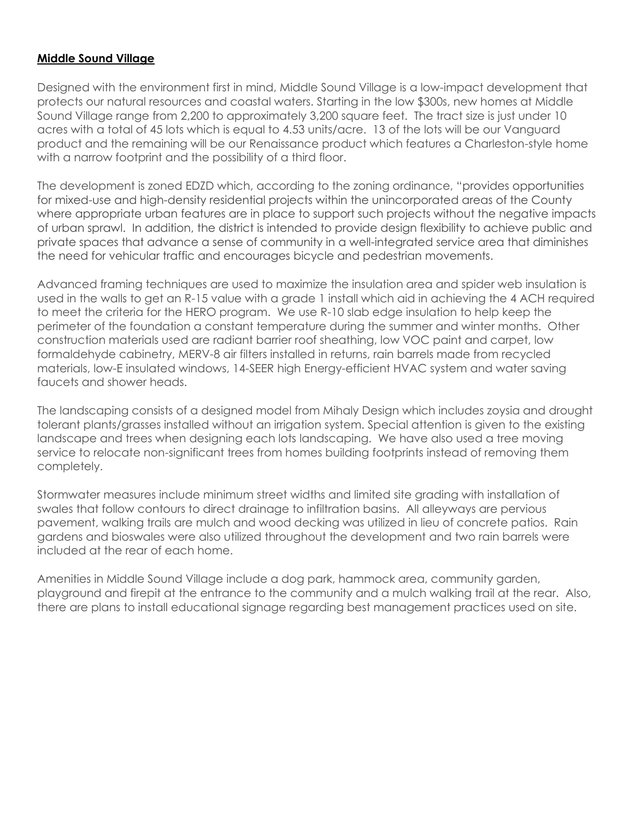## **Middle Sound Village**

Designed with the environment first in mind, Middle Sound Village is a low-impact development that protects our natural resources and coastal waters. Starting in the low \$300s, new homes at Middle Sound Village range from 2,200 to approximately 3,200 square feet. The tract size is just under 10 acres with a total of 45 lots which is equal to 4.53 units/acre. 13 of the lots will be our Vanguard product and the remaining will be our Renaissance product which features a Charleston-style home with a narrow footprint and the possibility of a third floor.

The development is zoned EDZD which, according to the zoning ordinance, "provides opportunities for mixed-use and high-density residential projects within the unincorporated areas of the County where appropriate urban features are in place to support such projects without the negative impacts of urban sprawl. In addition, the district is intended to provide design flexibility to achieve public and private spaces that advance a sense of community in a well-integrated service area that diminishes the need for vehicular traffic and encourages bicycle and pedestrian movements.

Advanced framing techniques are used to maximize the insulation area and spider web insulation is used in the walls to get an R-15 value with a grade 1 install which aid in achieving the 4 ACH required to meet the criteria for the HERO program. We use R-10 slab edge insulation to help keep the perimeter of the foundation a constant temperature during the summer and winter months. Other construction materials used are radiant barrier roof sheathing, low VOC paint and carpet, low formaldehyde cabinetry, MERV-8 air filters installed in returns, rain barrels made from recycled materials, low-E insulated windows, 14-SEER high Energy-efficient HVAC system and water saving faucets and shower heads.

The landscaping consists of a designed model from Mihaly Design which includes zoysia and drought tolerant plants/grasses installed without an irrigation system. Special attention is given to the existing landscape and trees when designing each lots landscaping. We have also used a tree moving service to relocate non-significant trees from homes building footprints instead of removing them completely.

Stormwater measures include minimum street widths and limited site grading with installation of swales that follow contours to direct drainage to infiltration basins. All alleyways are pervious pavement, walking trails are mulch and wood decking was utilized in lieu of concrete patios. Rain gardens and bioswales were also utilized throughout the development and two rain barrels were included at the rear of each home.

Amenities in Middle Sound Village include a dog park, hammock area, community garden, playground and firepit at the entrance to the community and a mulch walking trail at the rear. Also, there are plans to install educational signage regarding best management practices used on site.